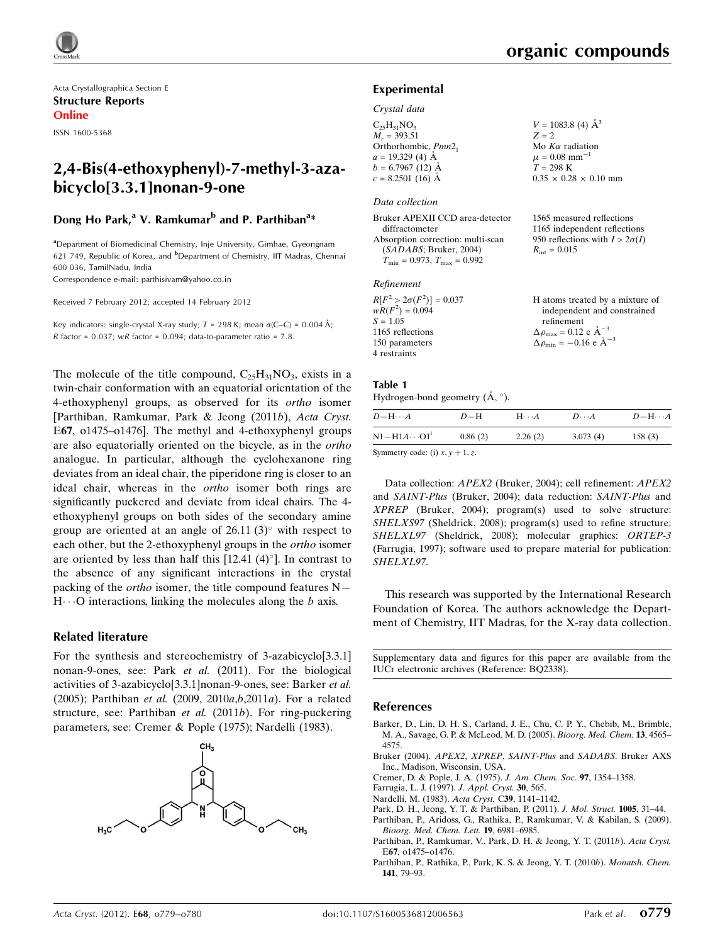

Acta Crystallographica Section E Structure Reports Online

ISSN 1600-5368

# 2,4-Bis(4-ethoxyphenyl)-7-methyl-3-azabicyclo[3.3.1]nonan-9-one

# Dong Ho Park,<sup>a</sup> V. Ramkumar<sup>b</sup> and P. Parthiban<sup>a</sup>\*

<sup>a</sup> Department of Biomedicinal Chemistry, Inje University, Gimhae, Gyeongnam 621 749, Republic of Korea, and <sup>b</sup>Department of Chemistry, IIT Madras, Chennai 600 036, TamilNadu, India

Correspondence e-mail: [parthisivam@yahoo.co.in](http://scripts.iucr.org/cgi-bin/cr.cgi?rm=pdfbb&cnor=bq2338&bbid=BB11)

Received 7 February 2012; accepted 14 February 2012

Key indicators: single-crystal X-ray study;  $T = 298$  K; mean  $\sigma$ (C–C) = 0.004 Å; R factor =  $0.037$ ; wR factor =  $0.094$ ; data-to-parameter ratio =  $7.8$ .

The molecule of the title compound,  $C_{25}H_{31}NO_3$ , exists in a twin-chair conformation with an equatorial orientation of the 4-ethoxyphenyl groups, as observed for its ortho isomer [Parthiban, Ramkumar, Park & Jeong (2011b), Acta Cryst. E67, o1475–o1476]. The methyl and 4-ethoxyphenyl groups are also equatorially oriented on the bicycle, as in the ortho analogue. In particular, although the cyclohexanone ring deviates from an ideal chair, the piperidone ring is closer to an ideal chair, whereas in the ortho isomer both rings are significantly puckered and deviate from ideal chairs. The 4 ethoxyphenyl groups on both sides of the secondary amine group are oriented at an angle of  $26.11(3)^\circ$  with respect to each other, but the 2-ethoxyphenyl groups in the ortho isomer are oriented by less than half this  $[12.41 (4)^\circ]$ . In contrast to the absence of any significant interactions in the crystal packing of the *ortho* isomer, the title compound features  $N H \cdots$ O interactions, linking the molecules along the b axis.

#### Related literature

For the synthesis and stereochemistry of 3-azabicyclo[3.3.1] nonan-9-ones, see: Park et al. (2011). For the biological activities of 3-azabicyclo[3.3.1]nonan-9-ones, see: Barker et al. (2005); Parthiban et al. (2009, 2010a,b,2011a). For a related structure, see: Parthiban et al. (2011b). For ring-puckering parameters, see: Cremer & Pople (1975); Nardelli (1983).



#### Experimental

#### Crystal data

| $C_{25}H_{31}NO_{3}$   | $V = 1083.8$ (4) $\AA^3$          |
|------------------------|-----------------------------------|
| $M_r = 393.51$         | $Z = 2$                           |
| Orthorhombic, $Pmn2_1$ | Mo $K\alpha$ radiation            |
| $a = 19.329$ (4) Å     | $\mu = 0.08$ mm <sup>-1</sup>     |
| $b = 6.7967(12)$ Å     | $T = 298 \text{ K}$               |
| $c = 8.2501$ (16) Å    | $0.35 \times 0.28 \times 0.10$ mm |
|                        |                                   |

#### Data collection

| Bruker APEXII CCD area-detector                     | 1565 measured reflections             |
|-----------------------------------------------------|---------------------------------------|
| diffractometer                                      | 1165 independent reflections          |
| Absorption correction: multi-scan                   | 950 reflections with $I > 2\sigma(I)$ |
| (SADABS; Bruker, 2004)                              | $R_{\rm int} = 0.015$                 |
| $T_{\text{min}} = 0.973$ , $T_{\text{max}} = 0.992$ |                                       |
|                                                     |                                       |

#### Refinement

| H atoms treated by a mixture of                  |
|--------------------------------------------------|
| independent and constrained                      |
| refinement                                       |
| $\Delta \rho_{\text{max}} = 0.12$ e $\AA^{-3}$   |
| $\Delta \rho_{\rm min} = -0.16 \text{ e A}^{-3}$ |
|                                                  |
|                                                  |

### Table 1

#### Hydrogen-bond geometry  $(\AA, \degree)$ .

| $D$ — $H \cdots A$     | $D-H$   | $H\cdots A$ | $D\cdots A$ | $D - H \cdots A$ |
|------------------------|---------|-------------|-------------|------------------|
| $N1 - H1A \cdots 01^i$ | 0.86(2) | 2.26(2)     | 3.073(4)    | 158(3)           |

Symmetry code: (i)  $x, y + 1, z$ .

Data collection: APEX2 (Bruker, 2004); cell refinement: APEX2 and SAINT-Plus (Bruker, 2004); data reduction: SAINT-Plus and XPREP (Bruker, 2004); program(s) used to solve structure: SHELXS97 (Sheldrick, 2008); program(s) used to refine structure: SHELXL97 (Sheldrick, 2008); molecular graphics: ORTEP-3 (Farrugia, 1997); software used to prepare material for publication: SHELXL97.

This research was supported by the International Research Foundation of Korea. The authors acknowledge the Department of Chemistry, IIT Madras, for the X-ray data collection.

Supplementary data and figures for this paper are available from the IUCr electronic archives (Reference: BQ2338).

#### References

- [Barker, D., Lin, D. H. S., Carland, J. E., Chu, C. P. Y., Chebib, M., Brimble,](http://scripts.iucr.org/cgi-bin/cr.cgi?rm=pdfbb&cnor=bq2338&bbid=BB1) [M. A., Savage, G. P. & McLeod, M. D. \(2005\).](http://scripts.iucr.org/cgi-bin/cr.cgi?rm=pdfbb&cnor=bq2338&bbid=BB1) Bioorg. Med. Chem. 13, 4565– [4575.](http://scripts.iucr.org/cgi-bin/cr.cgi?rm=pdfbb&cnor=bq2338&bbid=BB1)
- [Bruker \(2004\).](http://scripts.iucr.org/cgi-bin/cr.cgi?rm=pdfbb&cnor=bq2338&bbid=BB2) APEX2, XPREP, SAINT-Plus and SADABS. Bruker AXS [Inc., Madison, Wisconsin, USA.](http://scripts.iucr.org/cgi-bin/cr.cgi?rm=pdfbb&cnor=bq2338&bbid=BB2)
- [Cremer, D. & Pople, J. A. \(1975\).](http://scripts.iucr.org/cgi-bin/cr.cgi?rm=pdfbb&cnor=bq2338&bbid=BB3) J. Am. Chem. Soc. 97, 1354–1358.
- [Farrugia, L. J. \(1997\).](http://scripts.iucr.org/cgi-bin/cr.cgi?rm=pdfbb&cnor=bq2338&bbid=BB4) J. Appl. Cryst. 30, 565.
- [Nardelli, M. \(1983\).](http://scripts.iucr.org/cgi-bin/cr.cgi?rm=pdfbb&cnor=bq2338&bbid=BB5) Acta Cryst. C39, 1141–1142.
- [Park, D. H., Jeong, Y. T. & Parthiban, P. \(2011\).](http://scripts.iucr.org/cgi-bin/cr.cgi?rm=pdfbb&cnor=bq2338&bbid=BB6) J. Mol. Struct. 1005, 31–44.
- [Parthiban, P., Aridoss, G., Rathika, P., Ramkumar, V. & Kabilan, S. \(2009\).](http://scripts.iucr.org/cgi-bin/cr.cgi?rm=pdfbb&cnor=bq2338&bbid=BB7) [Bioorg. Med. Chem. Lett.](http://scripts.iucr.org/cgi-bin/cr.cgi?rm=pdfbb&cnor=bq2338&bbid=BB7) 19, 6981–6985.
- [Parthiban, P., Ramkumar, V., Park, D. H. & Jeong, Y. T. \(2011](http://scripts.iucr.org/cgi-bin/cr.cgi?rm=pdfbb&cnor=bq2338&bbid=BB51)b). Acta Cryst. E67[, o1475–o1476.](http://scripts.iucr.org/cgi-bin/cr.cgi?rm=pdfbb&cnor=bq2338&bbid=BB51)
- [Parthiban, P., Rathika, P., Park, K. S. & Jeong, Y. T. \(2010](http://scripts.iucr.org/cgi-bin/cr.cgi?rm=pdfbb&cnor=bq2338&bbid=BB8)b). Monatsh. Chem. 141[, 79–93.](http://scripts.iucr.org/cgi-bin/cr.cgi?rm=pdfbb&cnor=bq2338&bbid=BB8)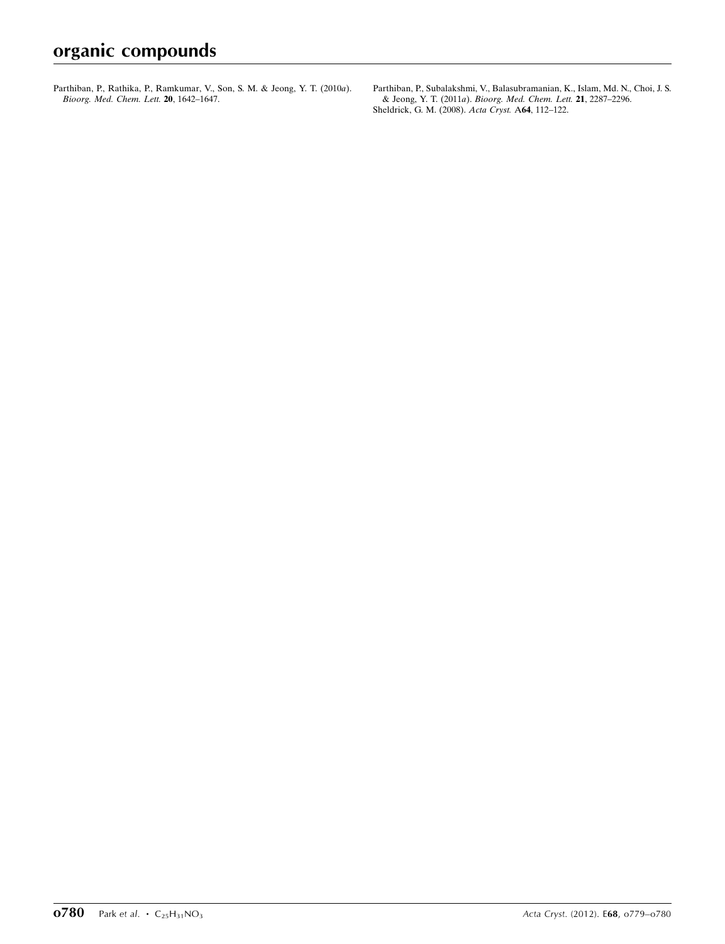[Parthiban, P., Rathika, P., Ramkumar, V., Son, S. M. & Jeong, Y. T. \(2010](http://scripts.iucr.org/cgi-bin/cr.cgi?rm=pdfbb&cnor=bq2338&bbid=BB9)a). [Bioorg. Med. Chem. Lett.](http://scripts.iucr.org/cgi-bin/cr.cgi?rm=pdfbb&cnor=bq2338&bbid=BB9) 20, 1642–1647.

[Parthiban, P., Subalakshmi, V., Balasubramanian, K., Islam, Md. N., Choi, J. S.](http://scripts.iucr.org/cgi-bin/cr.cgi?rm=pdfbb&cnor=bq2338&bbid=BB10) & Jeong, Y. T. (2011a). [Bioorg. Med. Chem. Lett.](http://scripts.iucr.org/cgi-bin/cr.cgi?rm=pdfbb&cnor=bq2338&bbid=BB10) 21, 2287–2296. [Sheldrick, G. M. \(2008\).](http://scripts.iucr.org/cgi-bin/cr.cgi?rm=pdfbb&cnor=bq2338&bbid=BB11) Acta Cryst. A64, 112–122.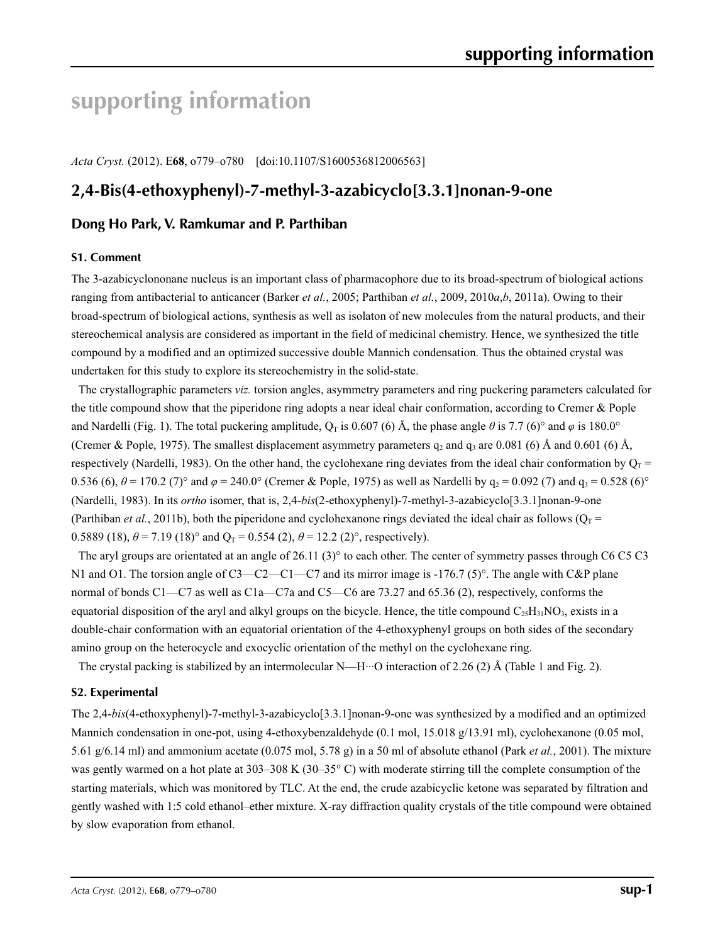# **supporting information**

*Acta Cryst.* (2012). E**68**, o779–o780 [doi:10.1107/S1600536812006563]

# **2,4-Bis(4-ethoxyphenyl)-7-methyl-3-azabicyclo[3.3.1]nonan-9-one**

# **Dong Ho Park, V. Ramkumar and P. Parthiban**

### **S1. Comment**

The 3-azabicyclononane nucleus is an important class of pharmacophore due to its broad-spectrum of biological actions ranging from antibacterial to anticancer (Barker *et al.*, 2005; Parthiban *et al.*, 2009, 2010*a*,*b*, 2011a). Owing to their broad-spectrum of biological actions, synthesis as well as isolaton of new molecules from the natural products, and their stereochemical analysis are considered as important in the field of medicinal chemistry. Hence, we synthesized the title compound by a modified and an optimized successive double Mannich condensation. Thus the obtained crystal was undertaken for this study to explore its stereochemistry in the solid-state.

The crystallographic parameters *viz.* torsion angles, asymmetry parameters and ring puckering parameters calculated for the title compound show that the piperidone ring adopts a near ideal chair conformation, according to Cremer & Pople and Nardelli (Fig. 1). The total puckering amplitude,  $Q_T$  is 0.607 (6) Å, the phase angle  $\theta$  is 7.7 (6)° and  $\varphi$  is 180.0° (Cremer & Pople, 1975). The smallest displacement asymmetry parameters  $q_2$  and  $q_3$  are 0.081 (6) Å and 0.601 (6) Å, respectively (Nardelli, 1983). On the other hand, the cyclohexane ring deviates from the ideal chair conformation by  $O_T =$ 0.536 (6),  $\theta$  = 170.2 (7)° and  $\varphi$  = 240.0° (Cremer & Pople, 1975) as well as Nardelli by  $q_2$  = 0.092 (7) and  $q_3$  = 0.528 (6)° (Nardelli, 1983). In its *ortho* isomer, that is, 2,4-*bis*(2-ethoxyphenyl)-7-methyl-3-azabicyclo[3.3.1]nonan-9-one (Parthiban *et al.*, 2011b), both the piperidone and cyclohexanone rings deviated the ideal chair as follows ( $O_T$  = 0.5889 (18),  $\theta$  = 7.19 (18)° and  $Q_T$  = 0.554 (2),  $\theta$  = 12.2 (2)°, respectively).

The aryl groups are orientated at an angle of 26.11 (3) $^{\circ}$  to each other. The center of symmetry passes through C6 C5 C3 N1 and O1. The torsion angle of C3—C2—C1—C7 and its mirror image is -176.7 (5)°. The angle with C&P plane normal of bonds C1—C7 as well as C1a—C7a and C5—C6 are 73.27 and 65.36 (2), respectively, conforms the equatorial disposition of the aryl and alkyl groups on the bicycle. Hence, the title compound  $C_{25}H_{31}NO_3$ , exists in a double-chair conformation with an equatorial orientation of the 4-ethoxyphenyl groups on both sides of the secondary amino group on the heterocycle and exocyclic orientation of the methyl on the cyclohexane ring.

The crystal packing is stabilized by an intermolecular N—H···O interaction of 2.26 (2) Å (Table 1 and Fig. 2).

### **S2. Experimental**

The 2,4-*bis*(4-ethoxyphenyl)-7-methyl-3-azabicyclo[3.3.1]nonan-9-one was synthesized by a modified and an optimized Mannich condensation in one-pot, using 4-ethoxybenzaldehyde (0.1 mol, 15.018 g/13.91 ml), cyclohexanone (0.05 mol, 5.61 g/6.14 ml) and ammonium acetate (0.075 mol, 5.78 g) in a 50 ml of absolute ethanol (Park *et al.*, 2001). The mixture was gently warmed on a hot plate at 303–308 K (30–35° C) with moderate stirring till the complete consumption of the starting materials, which was monitored by TLC. At the end, the crude azabicyclic ketone was separated by filtration and gently washed with 1:5 cold ethanol–ether mixture. X-ray diffraction quality crystals of the title compound were obtained by slow evaporation from ethanol.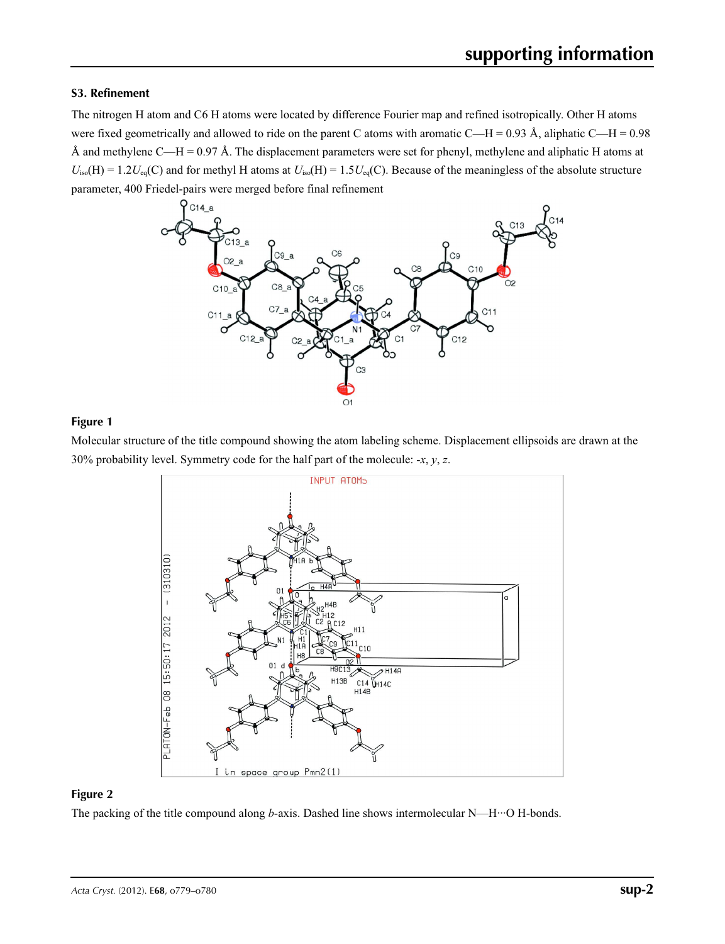# **S3. Refinement**

The nitrogen H atom and C6 H atoms were located by difference Fourier map and refined isotropically. Other H atoms were fixed geometrically and allowed to ride on the parent C atoms with aromatic C—H =  $0.93 \text{ Å}$ , aliphatic C—H =  $0.98$ Å and methylene C—H = 0.97 Å. The displacement parameters were set for phenyl, methylene and aliphatic H atoms at  $U_{iso}(H) = 1.2U_{eq}(C)$  and for methyl H atoms at  $U_{iso}(H) = 1.5U_{eq}(C)$ . Because of the meaningless of the absolute structure parameter, 400 Friedel-pairs were merged before final refinement



## **Figure 1**

Molecular structure of the title compound showing the atom labeling scheme. Displacement ellipsoids are drawn at the 30% probability level. Symmetry code for the half part of the molecule: -*x*, *y*, *z*.



### **Figure 2**

The packing of the title compound along *b*-axis. Dashed line shows intermolecular N—H···O H-bonds.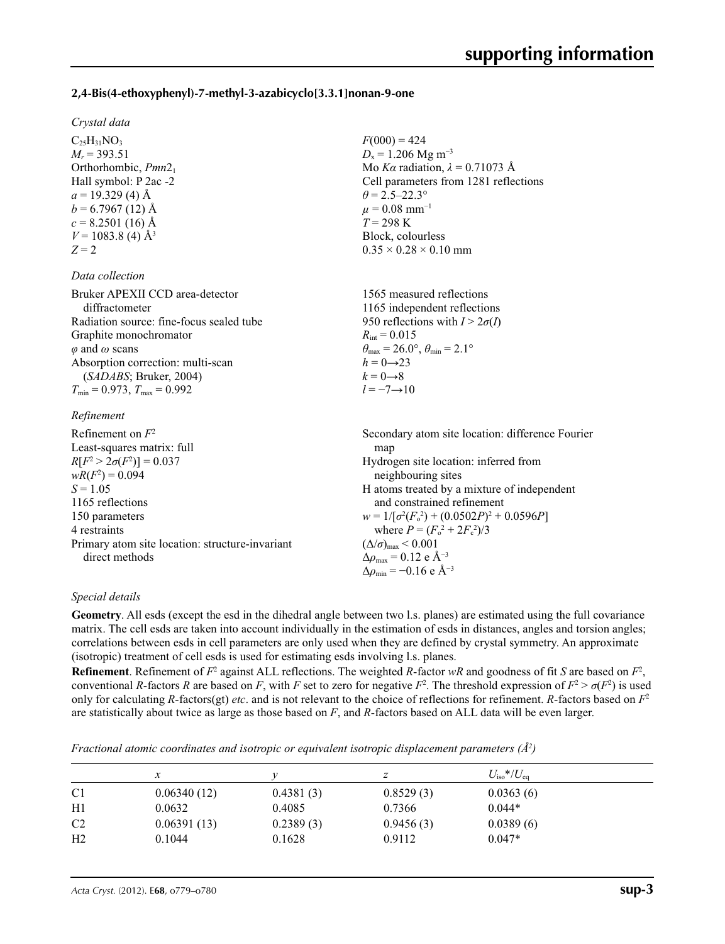### **2,4-Bis(4-ethoxyphenyl)-7-methyl-3-azabicyclo[3.3.1]nonan-9-one**

#### *Crystal data*

 $C_{25}H_{31}NO_3$  $M_r = 393.51$ Orthorhombic, *Pmn*21 Hall symbol: P 2ac -2  $a = 19.329$  (4) Å  $b = 6.7967(12)$  Å  $c = 8.2501(16)$  Å  $V = 1083.8$  (4) Å<sup>3</sup>  $Z = 2$ 

### *Data collection*

Bruker APEXII CCD area-detector diffractometer Radiation source: fine-focus sealed tube Graphite monochromator *φ* and *ω* scans Absorption correction: multi-scan (*SADABS*; Bruker, 2004)  $T_{\text{min}} = 0.973$ ,  $T_{\text{max}} = 0.992$ 

## *Refinement*

| Refinement on $F^2$                             | Secondary atom site location: difference Fourier             |
|-------------------------------------------------|--------------------------------------------------------------|
| Least-squares matrix: full                      | map                                                          |
| $R[F^2 > 2\sigma(F^2)] = 0.037$                 | Hydrogen site location: inferred from                        |
| $wR(F^2) = 0.094$                               | neighbouring sites                                           |
| $S = 1.05$                                      | H atoms treated by a mixture of independent                  |
| 1165 reflections                                | and constrained refinement                                   |
| 150 parameters                                  | $w = 1/[\sigma^2(F_0^2) + (0.0502P)^2 + 0.0596P]$            |
| 4 restraints                                    | where $P = (F_o^2 + 2F_c^2)/3$                               |
| Primary atom site location: structure-invariant | $(\Delta/\sigma)_{\text{max}}$ < 0.001                       |
| direct methods                                  | $\Delta \rho_{\text{max}} = 0.12 \text{ e } \text{\AA}^{-3}$ |
|                                                 | $\Delta\rho_{\rm min} = -0.16$ e Å <sup>-3</sup>             |

 $F(000) = 424$  $D_x = 1.206$  Mg m<sup>-3</sup>

 $\theta = 2.5 - 22.3^{\circ}$  $\mu = 0.08$  mm<sup>-1</sup> *T* = 298 K Block, colourless  $0.35 \times 0.28 \times 0.10$  mm

 $R_{\text{int}} = 0.015$ 

 $h = 0 \rightarrow 23$  $k = 0 \rightarrow 8$ *l* = −7→10

Mo *Kα* radiation, *λ* = 0.71073 Å Cell parameters from 1281 reflections

1565 measured reflections 1165 independent reflections 950 reflections with  $I > 2\sigma(I)$ 

 $\theta_{\text{max}} = 26.0^{\circ}, \theta_{\text{min}} = 2.1^{\circ}$ 

### *Special details*

**Geometry**. All esds (except the esd in the dihedral angle between two l.s. planes) are estimated using the full covariance matrix. The cell esds are taken into account individually in the estimation of esds in distances, angles and torsion angles; correlations between esds in cell parameters are only used when they are defined by crystal symmetry. An approximate (isotropic) treatment of cell esds is used for estimating esds involving l.s. planes.

**Refinement**. Refinement of  $F^2$  against ALL reflections. The weighted *R*-factor  $wR$  and goodness of fit *S* are based on  $F^2$ , conventional *R*-factors *R* are based on *F*, with *F* set to zero for negative  $F^2$ . The threshold expression of  $F^2 > \sigma(F^2)$  is used only for calculating *R*-factors(gt) *etc*. and is not relevant to the choice of reflections for refinement. *R*-factors based on *F*<sup>2</sup> are statistically about twice as large as those based on *F*, and *R*-factors based on ALL data will be even larger.

*Fractional atomic coordinates and isotropic or equivalent isotropic displacement parameters (Å2 )*

|                |             |           | z         | $U_{\rm iso}$ */ $U_{\rm eq}$ |  |
|----------------|-------------|-----------|-----------|-------------------------------|--|
| C <sub>1</sub> | 0.06340(12) | 0.4381(3) | 0.8529(3) | 0.0363(6)                     |  |
| H1             | 0.0632      | 0.4085    | 0.7366    | $0.044*$                      |  |
| C <sub>2</sub> | 0.06391(13) | 0.2389(3) | 0.9456(3) | 0.0389(6)                     |  |
| H <sub>2</sub> | 0.1044      | 0.1628    | 0.9112    | $0.047*$                      |  |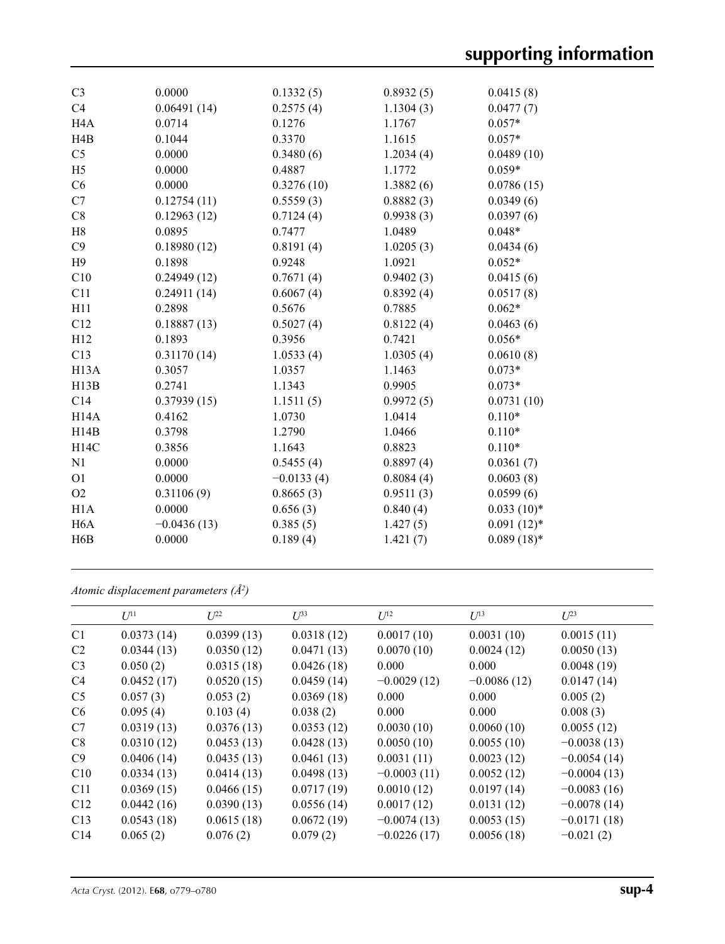| C <sub>3</sub>    | 0.0000        | 0.1332(5)    | 0.8932(5) | 0.0415(8)     |
|-------------------|---------------|--------------|-----------|---------------|
| C4                | 0.06491(14)   | 0.2575(4)    | 1.1304(3) | 0.0477(7)     |
| H <sub>4</sub> A  | 0.0714        | 0.1276       | 1.1767    | $0.057*$      |
| H4B               | 0.1044        | 0.3370       | 1.1615    | $0.057*$      |
| C <sub>5</sub>    | 0.0000        | 0.3480(6)    | 1.2034(4) | 0.0489(10)    |
| H <sub>5</sub>    | 0.0000        | 0.4887       | 1.1772    | $0.059*$      |
| C6                | 0.0000        | 0.3276(10)   | 1.3882(6) | 0.0786(15)    |
| C7                | 0.12754(11)   | 0.5559(3)    | 0.8882(3) | 0.0349(6)     |
| C8                | 0.12963(12)   | 0.7124(4)    | 0.9938(3) | 0.0397(6)     |
| H8                | 0.0895        | 0.7477       | 1.0489    | $0.048*$      |
| C9                | 0.18980(12)   | 0.8191(4)    | 1.0205(3) | 0.0434(6)     |
| H9                | 0.1898        | 0.9248       | 1.0921    | $0.052*$      |
| C10               | 0.24949(12)   | 0.7671(4)    | 0.9402(3) | 0.0415(6)     |
| C11               | 0.24911(14)   | 0.6067(4)    | 0.8392(4) | 0.0517(8)     |
| H11               | 0.2898        | 0.5676       | 0.7885    | $0.062*$      |
| C12               | 0.18887(13)   | 0.5027(4)    | 0.8122(4) | 0.0463(6)     |
| H12               | 0.1893        | 0.3956       | 0.7421    | $0.056*$      |
| C13               | 0.31170(14)   | 1.0533(4)    | 1.0305(4) | 0.0610(8)     |
| H <sub>13</sub> A | 0.3057        | 1.0357       | 1.1463    | $0.073*$      |
| H13B              | 0.2741        | 1.1343       | 0.9905    | $0.073*$      |
| C14               | 0.37939(15)   | 1.1511(5)    | 0.9972(5) | 0.0731(10)    |
| H <sub>14</sub> A | 0.4162        | 1.0730       | 1.0414    | $0.110*$      |
| H14B              | 0.3798        | 1.2790       | 1.0466    | $0.110*$      |
| H14C              | 0.3856        | 1.1643       | 0.8823    | $0.110*$      |
| N1                | 0.0000        | 0.5455(4)    | 0.8897(4) | 0.0361(7)     |
| O <sub>1</sub>    | 0.0000        | $-0.0133(4)$ | 0.8084(4) | 0.0603(8)     |
| O2                | 0.31106(9)    | 0.8665(3)    | 0.9511(3) | 0.0599(6)     |
| H1A               | 0.0000        | 0.656(3)     | 0.840(4)  | $0.033(10)*$  |
| H <sub>6</sub> A  | $-0.0436(13)$ | 0.385(5)     | 1.427(5)  | $0.091(12)$ * |
| H6B               | 0.0000        | 0.189(4)     | 1.421(7)  | $0.089(18)*$  |
|                   |               |              |           |               |

*Atomic displacement parameters (Å2 )*

|                | $U^{11}$   | $U^{22}$   | $\mathcal{L}^{\beta 3}$ | $U^{12}$      | $U^{13}$      | $U^{23}$      |
|----------------|------------|------------|-------------------------|---------------|---------------|---------------|
| C <sub>1</sub> | 0.0373(14) | 0.0399(13) | 0.0318(12)              | 0.0017(10)    | 0.0031(10)    | 0.0015(11)    |
| C <sub>2</sub> | 0.0344(13) | 0.0350(12) | 0.0471(13)              | 0.0070(10)    | 0.0024(12)    | 0.0050(13)    |
| C <sub>3</sub> | 0.050(2)   | 0.0315(18) | 0.0426(18)              | 0.000         | 0.000         | 0.0048(19)    |
| C4             | 0.0452(17) | 0.0520(15) | 0.0459(14)              | $-0.0029(12)$ | $-0.0086(12)$ | 0.0147(14)    |
| C <sub>5</sub> | 0.057(3)   | 0.053(2)   | 0.0369(18)              | 0.000         | 0.000         | 0.005(2)      |
| C <sub>6</sub> | 0.095(4)   | 0.103(4)   | 0.038(2)                | 0.000         | 0.000         | 0.008(3)      |
| C7             | 0.0319(13) | 0.0376(13) | 0.0353(12)              | 0.0030(10)    | 0.0060(10)    | 0.0055(12)    |
| C8             | 0.0310(12) | 0.0453(13) | 0.0428(13)              | 0.0050(10)    | 0.0055(10)    | $-0.0038(13)$ |
| C9             | 0.0406(14) | 0.0435(13) | 0.0461(13)              | 0.0031(11)    | 0.0023(12)    | $-0.0054(14)$ |
| C10            | 0.0334(13) | 0.0414(13) | 0.0498(13)              | $-0.0003(11)$ | 0.0052(12)    | $-0.0004(13)$ |
| C11            | 0.0369(15) | 0.0466(15) | 0.0717(19)              | 0.0010(12)    | 0.0197(14)    | $-0.0083(16)$ |
| C12            | 0.0442(16) | 0.0390(13) | 0.0556(14)              | 0.0017(12)    | 0.0131(12)    | $-0.0078(14)$ |
| C13            | 0.0543(18) | 0.0615(18) | 0.0672(19)              | $-0.0074(13)$ | 0.0053(15)    | $-0.0171(18)$ |
| C14            | 0.065(2)   | 0.076(2)   | 0.079(2)                | $-0.0226(17)$ | 0.0056(18)    | $-0.021(2)$   |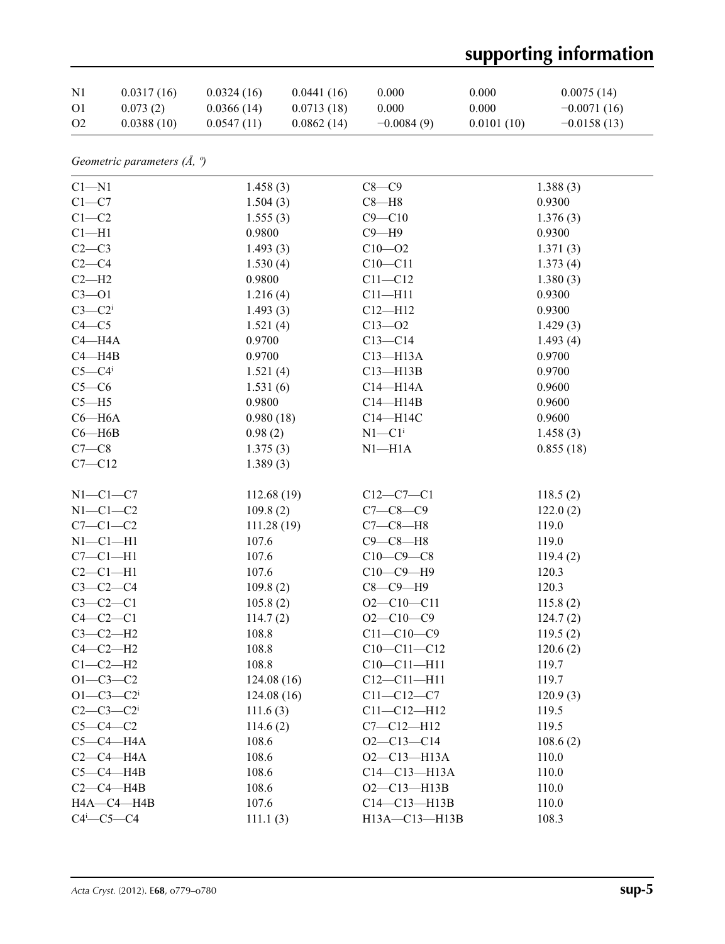# **supporting information**

| N <sub>1</sub> | 0.0317(16) | 0.0324(16) | 0.0441(16) | 0.000        | 0.000      | 0.0075(14)    |
|----------------|------------|------------|------------|--------------|------------|---------------|
| O <sub>1</sub> | 0.073(2)   | 0.0366(14) | 0.0713(18) | 0.000        | 0.000      | $-0.0071(16)$ |
| O <sub>2</sub> | 0.0388(10) | 0.0547(11) | 0.0862(14) | $-0.0084(9)$ | 0.0101(10) | $-0.0158(13)$ |

*Geometric parameters (Å, º)*

| $C1 - N1$                       | 1.458(3)    | $C8-C9$                | 1.388(3)  |
|---------------------------------|-------------|------------------------|-----------|
| $C1-C7$                         | 1.504(3)    | $C8 - H8$              | 0.9300    |
| $C1 - C2$                       | 1.555(3)    | $C9 - C10$             | 1.376(3)  |
| $C1 - H1$                       | 0.9800      | $C9 - H9$              | 0.9300    |
| $C2-C3$                         | 1.493(3)    | $C10 - 02$             | 1.371(3)  |
| $C2-C4$                         | 1.530(4)    | $C10 - C11$            | 1.373(4)  |
| $C2-H2$                         | 0.9800      | $C11 - C12$            | 1.380(3)  |
| $C3 - O1$                       | 1.216(4)    | $C11 - H11$            | 0.9300    |
| $C3-C2$                         | 1.493(3)    | $C12 - H12$            | 0.9300    |
| $C4-C5$                         | 1.521(4)    | $C13 - 02$             | 1.429(3)  |
| $C4 - H4A$                      | 0.9700      | $C13-C14$              | 1.493(4)  |
| $C4 - H4B$                      | 0.9700      | $C13 - H13A$           | 0.9700    |
| $C5 - C4$ <sup>i</sup>          | 1.521(4)    | $C13 - H13B$           | 0.9700    |
| $C5-C6$                         | 1.531(6)    | $C14 - H14A$           | 0.9600    |
| $C5 - H5$                       | 0.9800      | $C14 - H14B$           | 0.9600    |
| $C6 - H6A$                      | 0.980(18)   | C14-H14C               | 0.9600    |
| $C6 - H6B$                      | 0.98(2)     | $N1 - C1$ <sup>i</sup> | 1.458(3)  |
| $C7-C8$                         | 1.375(3)    | $N1 - H1A$             | 0.855(18) |
| $C7 - C12$                      | 1.389(3)    |                        |           |
| $N1-C1-C7$                      | 112.68(19)  | $C12 - C7 - C1$        | 118.5(2)  |
| $N1-C1-C2$                      | 109.8(2)    | $C7 - C8 - C9$         | 122.0(2)  |
| $C7-C1-C2$                      | 111.28 (19) | $C7-C8-H8$             | 119.0     |
| $N1-C1-H1$                      | 107.6       | $C9 - C8 - H8$         | 119.0     |
| $C7-C1-H1$                      | 107.6       | $C10-C9-C8$            | 119.4(2)  |
| $C2-C1-H1$                      | 107.6       | $C10-C9-H9$            | 120.3     |
| $C3-C2-C4$                      | 109.8(2)    | $C8-C9-H9$             | 120.3     |
| $C3-C2-C1$                      | 105.8(2)    | $O2 - C10 - C11$       | 115.8(2)  |
| $C4-C2-C1$                      | 114.7(2)    | $O2 - C10 - C9$        | 124.7(2)  |
| $C3-C2-H2$                      | 108.8       | $C11 - C10 - C9$       | 119.5(2)  |
| $C4-C2-H2$                      | 108.8       | $C10-C11-C12$          | 120.6(2)  |
| $C1-C2-H2$                      | 108.8       | $C10-C11-H11$          | 119.7     |
| $O1 - C3 - C2$                  | 124.08(16)  | $C12 - C11 - H11$      | 119.7     |
| $O1 - C3 - C2$                  | 124.08(16)  | $C11 - C12 - C7$       | 120.9(3)  |
| $C2 - C3 - C2$                  | 111.6(3)    | $C11 - C12 - H12$      | 119.5     |
| $C5-C4-C2$                      | 114.6(2)    | $C7 - C12 - H12$       | 119.5     |
| $C5-C4-H4A$                     | 108.6       | $O2 - C13 - C14$       | 108.6(2)  |
| $C2-C4-H4A$                     | 108.6       | $O2 - C13 - H13A$      | 110.0     |
| $C5-C4-H4B$                     | 108.6       | $C14-C13-H13A$         | 110.0     |
| $C2-C4-HAB$                     | 108.6       | $O2 - C13 - H13B$      | 110.0     |
| H4A-C4-H4B                      | 107.6       | $C14-C13-H13B$         | 110.0     |
| $C4$ <sup>i</sup> - $C5$ - $C4$ | 111.1(3)    | H13A-C13-H13B          | 108.3     |